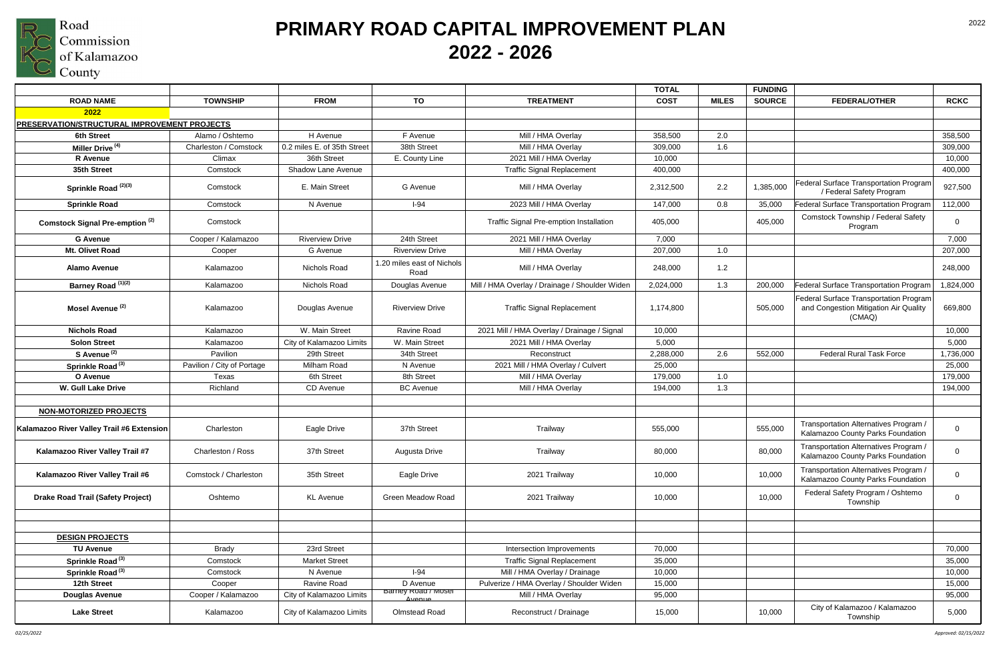

|                                                     |                            |                             |                                    |                                                | <b>TOTAL</b> |              | <b>FUNDING</b> |                                                                                           |                |
|-----------------------------------------------------|----------------------------|-----------------------------|------------------------------------|------------------------------------------------|--------------|--------------|----------------|-------------------------------------------------------------------------------------------|----------------|
| <b>ROAD NAME</b>                                    | <b>TOWNSHIP</b>            | <b>FROM</b>                 | TO                                 | <b>TREATMENT</b>                               | <b>COST</b>  | <b>MILES</b> | <b>SOURCE</b>  | <b>FEDERAL/OTHER</b>                                                                      | <b>RCKC</b>    |
| 2022                                                |                            |                             |                                    |                                                |              |              |                |                                                                                           |                |
| <b>PRESERVATION/STRUCTURAL IMPROVEMENT PROJECTS</b> |                            |                             |                                    |                                                |              |              |                |                                                                                           |                |
| <b>6th Street</b>                                   | Alamo / Oshtemo            | H Avenue                    | F Avenue                           | Mill / HMA Overlay                             | 358,500      | 2.0          |                |                                                                                           | 358,500        |
| Miller Drive <sup>(4)</sup>                         | Charleston / Comstock      | 0.2 miles E. of 35th Street | 38th Street                        | Mill / HMA Overlay                             | 309,000      | 1.6          |                |                                                                                           | 309,000        |
| <b>R</b> Avenue                                     | Climax                     | 36th Street                 | E. County Line                     | 2021 Mill / HMA Overlay                        | 10,000       |              |                |                                                                                           | 10,000         |
| 35th Street                                         | Comstock                   | <b>Shadow Lane Avenue</b>   |                                    | <b>Traffic Signal Replacement</b>              | 400,000      |              |                |                                                                                           | 400,000        |
| Sprinkle Road <sup>(2)(3)</sup>                     | Comstock                   | E. Main Street              | G Avenue                           | Mill / HMA Overlay                             | 2,312,500    | 2.2          | 1,385,000      | Federal Surface Transportation Program<br>/ Federal Safety Program                        | 927,500        |
| <b>Sprinkle Road</b>                                | Comstock                   | N Avenue                    | $I-94$                             | 2023 Mill / HMA Overlay                        | 147,000      | 0.8          | 35,000         | Federal Surface Transportation Program                                                    | 112,000        |
| Comstock Signal Pre-emption <sup>(2)</sup>          | Comstock                   |                             |                                    | <b>Traffic Signal Pre-emption Installation</b> | 405,000      |              | 405,000        | Comstock Township / Federal Safety<br>Program                                             | $\mathbf 0$    |
| <b>G</b> Avenue                                     | Cooper / Kalamazoo         | <b>Riverview Drive</b>      | 24th Street                        | 2021 Mill / HMA Overlay                        | 7,000        |              |                |                                                                                           | 7,000          |
| Mt. Olivet Road                                     | Cooper                     | G Avenue                    | <b>Riverview Drive</b>             | Mill / HMA Overlay                             | 207,000      | 1.0          |                |                                                                                           | 207,000        |
| <b>Alamo Avenue</b>                                 | Kalamazoo                  | Nichols Road                | 1.20 miles east of Nichols<br>Road | Mill / HMA Overlay                             | 248,000      | 1.2          |                |                                                                                           | 248,000        |
| Barney Road <sup>(1)(2)</sup>                       | Kalamazoo                  | Nichols Road                | Douglas Avenue                     | Mill / HMA Overlay / Drainage / Shoulder Widen | 2,024,000    | 1.3          | 200,000        | Federal Surface Transportation Program                                                    | 1,824,000      |
| Mosel Avenue <sup>(2)</sup>                         | Kalamazoo                  | Douglas Avenue              | <b>Riverview Drive</b>             | <b>Traffic Signal Replacement</b>              | 1,174,800    |              | 505,000        | Federal Surface Transportation Program<br>and Congestion Mitigation Air Quality<br>(CMAQ) | 669,800        |
| <b>Nichols Road</b>                                 | Kalamazoo                  | W. Main Street              | Ravine Road                        | 2021 Mill / HMA Overlay / Drainage / Signal    | 10,000       |              |                |                                                                                           | 10,000         |
| <b>Solon Street</b>                                 | Kalamazoo                  | City of Kalamazoo Limits    | W. Main Street                     | 2021 Mill / HMA Overlay                        | 5,000        |              |                |                                                                                           | 5,000          |
| S Avenue <sup>(2)</sup>                             | Pavilion                   | 29th Street                 | 34th Street                        | Reconstruct                                    | 2,288,000    | 2.6          | 552,000        | <b>Federal Rural Task Force</b>                                                           | 1,736,000      |
| Sprinkle Road <sup>(3)</sup>                        | Pavilion / City of Portage | Milham Road                 | N Avenue                           | 2021 Mill / HMA Overlay / Culvert              | 25,000       |              |                |                                                                                           | 25,000         |
| O Avenue                                            | Texas                      | 6th Street                  | 8th Street                         | Mill / HMA Overlay                             | 179,000      | 1.0          |                |                                                                                           | 179,000        |
| <b>W. Gull Lake Drive</b>                           | Richland                   | CD Avenue                   | <b>BC</b> Avenue                   | Mill / HMA Overlay                             | 194,000      | 1.3          |                |                                                                                           | 194,000        |
| <b>NON-MOTORIZED PROJECTS</b>                       |                            |                             |                                    |                                                |              |              |                |                                                                                           |                |
| Kalamazoo River Valley Trail #6 Extension           | Charleston                 | Eagle Drive                 | 37th Street                        | Trailway                                       | 555,000      |              | 555,000        | Transportation Alternatives Program /<br>Kalamazoo County Parks Foundation                | $\mathbf 0$    |
| Kalamazoo River Valley Trail #7                     | Charleston / Ross          | 37th Street                 | Augusta Drive                      | Trailway                                       | 80,000       |              | 80,000         | Transportation Alternatives Program /<br>Kalamazoo County Parks Foundation                | 0              |
| Kalamazoo River Valley Trail #6                     | Comstock / Charleston      | 35th Street                 | Eagle Drive                        | 2021 Trailway                                  | 10,000       |              | 10,000         | Transportation Alternatives Program /<br>Kalamazoo County Parks Foundation                | $\mathbf 0$    |
| <b>Drake Road Trail (Safety Project)</b>            | Oshtemo                    | <b>KL</b> Avenue            | <b>Green Meadow Road</b>           | 2021 Trailway                                  | 10,000       |              | 10,000         | Federal Safety Program / Oshtemo<br>Township                                              | $\overline{0}$ |
| <b>DESIGN PROJECTS</b>                              |                            |                             |                                    |                                                |              |              |                |                                                                                           |                |
| <b>TU Avenue</b>                                    | <b>Brady</b>               | 23rd Street                 |                                    | Intersection Improvements                      | 70,000       |              |                |                                                                                           | 70,000         |
| Sprinkle Road <sup>(3)</sup>                        | Comstock                   | <b>Market Street</b>        |                                    | <b>Traffic Signal Replacement</b>              | 35,000       |              |                |                                                                                           | 35,000         |
| Sprinkle Road <sup>(3)</sup>                        | Comstock                   | N Avenue                    | $I-94$                             | Mill / HMA Overlay / Drainage                  | 10,000       |              |                |                                                                                           | 10,000         |
| 12th Street                                         | Cooper                     | Ravine Road                 | D Avenue<br>Barney Road / Mosel    | Pulverize / HMA Overlay / Shoulder Widen       | 15,000       |              |                |                                                                                           | 15,000         |
| <b>Douglas Avenue</b>                               | Cooper / Kalamazoo         | City of Kalamazoo Limits    | Ayonuc                             | Mill / HMA Overlay                             | 95,000       |              |                |                                                                                           | 95,000         |
| <b>Lake Street</b>                                  | Kalamazoo                  | City of Kalamazoo Limits    | Olmstead Road                      | Reconstruct / Drainage                         | 15,000       |              | 10,000         | City of Kalamazoo / Kalamazoo<br>Township                                                 | 5,000          |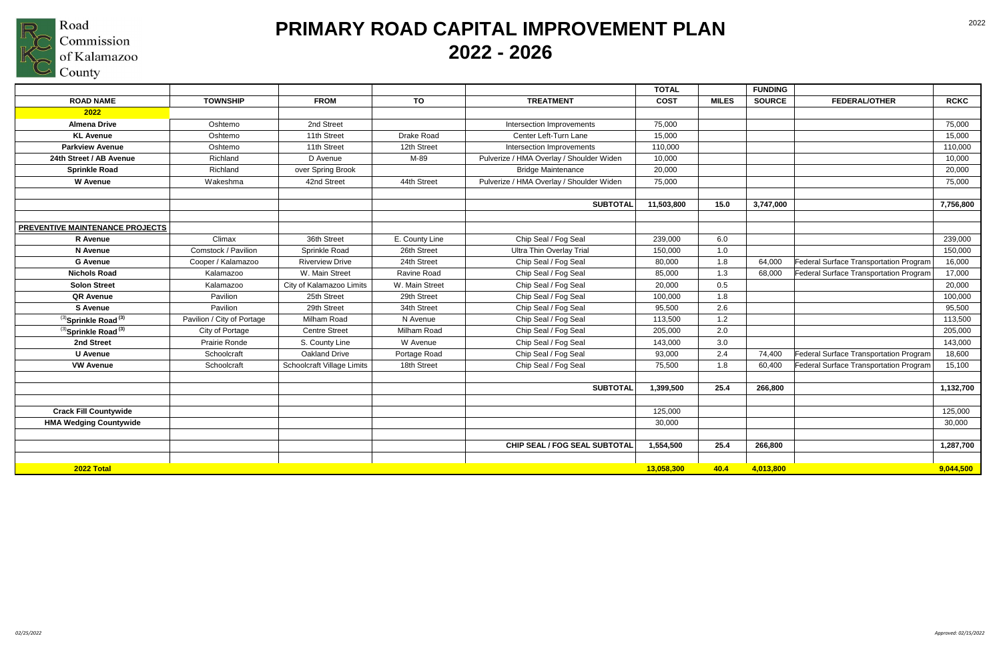

|                                        |                            |                            |                |                                          | <b>TOTAL</b> |              | <b>FUNDING</b> |                                        |             |
|----------------------------------------|----------------------------|----------------------------|----------------|------------------------------------------|--------------|--------------|----------------|----------------------------------------|-------------|
| <b>ROAD NAME</b>                       | <b>TOWNSHIP</b>            | <b>FROM</b>                | TO             | <b>TREATMENT</b>                         | <b>COST</b>  | <b>MILES</b> | <b>SOURCE</b>  | <b>FEDERAL/OTHER</b>                   | <b>RCKC</b> |
| 2022                                   |                            |                            |                |                                          |              |              |                |                                        |             |
| <b>Almena Drive</b>                    | Oshtemo                    | 2nd Street                 |                | Intersection Improvements                | 75,000       |              |                |                                        | 75,000      |
| <b>KL Avenue</b>                       | Oshtemo                    | 11th Street                | Drake Road     | Center Left-Turn Lane                    | 15,000       |              |                |                                        | 15,000      |
| <b>Parkview Avenue</b>                 | Oshtemo                    | 11th Street                | 12th Street    | Intersection Improvements                | 110,000      |              |                |                                        | 110,000     |
| 24th Street / AB Avenue                | Richland                   | D Avenue                   | M-89           | Pulverize / HMA Overlay / Shoulder Widen | 10,000       |              |                |                                        | 10,000      |
| <b>Sprinkle Road</b>                   | Richland                   | over Spring Brook          |                | <b>Bridge Maintenance</b>                | 20,000       |              |                |                                        | 20,000      |
| <b>W</b> Avenue                        | Wakeshma                   | 42nd Street                | 44th Street    | Pulverize / HMA Overlay / Shoulder Widen | 75,000       |              |                |                                        | 75,000      |
|                                        |                            |                            |                |                                          |              |              |                |                                        |             |
|                                        |                            |                            |                | <b>SUBTOTAL</b>                          | 11,503,800   | 15.0         | 3,747,000      |                                        | 7,756,800   |
|                                        |                            |                            |                |                                          |              |              |                |                                        |             |
| <b>PREVENTIVE MAINTENANCE PROJECTS</b> |                            |                            |                |                                          |              |              |                |                                        |             |
| <b>R</b> Avenue                        | Climax                     | 36th Street                | E. County Line | Chip Seal / Fog Seal                     | 239,000      | 6.0          |                |                                        | 239,000     |
| <b>N</b> Avenue                        | Comstock / Pavilion        | Sprinkle Road              | 26th Street    | <b>Ultra Thin Overlay Trial</b>          | 150,000      | 1.0          |                |                                        | 150,000     |
| <b>G</b> Avenue                        | Cooper / Kalamazoo         | <b>Riverview Drive</b>     | 24th Street    | Chip Seal / Fog Seal                     | 80,000       | 1.8          | 64,000         | Federal Surface Transportation Program | 16,000      |
| <b>Nichols Road</b>                    | Kalamazoo                  | W. Main Street             | Ravine Road    | Chip Seal / Fog Seal                     | 85,000       | 1.3          | 68,000         | Federal Surface Transportation Program | 17,000      |
| <b>Solon Street</b>                    | Kalamazoo                  | City of Kalamazoo Limits   | W. Main Street | Chip Seal / Fog Seal                     | 20,000       | 0.5          |                |                                        | 20,000      |
| <b>QR Avenue</b>                       | Pavilion                   | 25th Street                | 29th Street    | Chip Seal / Fog Seal                     | 100,000      | 1.8          |                |                                        | 100,000     |
| <b>S</b> Avenue                        | Pavilion                   | 29th Street                | 34th Street    | Chip Seal / Fog Seal                     | 95,500       | 2.6          |                |                                        | 95,500      |
| (3) Sprinkle Road <sup>(3)</sup>       | Pavilion / City of Portage | Milham Road                | N Avenue       | Chip Seal / Fog Seal                     | 113,500      | 1.2          |                |                                        | 113,500     |
| (3) Sprinkle Road (3)                  | City of Portage            | <b>Centre Street</b>       | Milham Road    | Chip Seal / Fog Seal                     | 205,000      | 2.0          |                |                                        | 205,000     |
| 2nd Street                             | Prairie Ronde              | S. County Line             | W Avenue       | Chip Seal / Fog Seal                     | 143,000      | 3.0          |                |                                        | 143,000     |
| <b>U</b> Avenue                        | Schoolcraft                | <b>Oakland Drive</b>       | Portage Road   | Chip Seal / Fog Seal                     | 93,000       | 2.4          | 74,400         | Federal Surface Transportation Program | 18,600      |
| <b>VW Avenue</b>                       | Schoolcraft                | Schoolcraft Village Limits | 18th Street    | Chip Seal / Fog Seal                     | 75,500       | 1.8          | 60,400         | Federal Surface Transportation Program | 15,100      |
|                                        |                            |                            |                |                                          |              |              |                |                                        |             |
|                                        |                            |                            |                | <b>SUBTOTAL</b>                          | 1,399,500    | 25.4         | 266,800        |                                        | 1,132,700   |
|                                        |                            |                            |                |                                          |              |              |                |                                        |             |
| <b>Crack Fill Countywide</b>           |                            |                            |                |                                          | 125,000      |              |                |                                        | 125,000     |
| <b>HMA Wedging Countywide</b>          |                            |                            |                |                                          | 30,000       |              |                |                                        | 30,000      |
|                                        |                            |                            |                |                                          |              |              |                |                                        |             |
|                                        |                            |                            |                | CHIP SEAL / FOG SEAL SUBTOTAL            | 1,554,500    | 25.4         | 266,800        |                                        | 1,287,700   |
|                                        |                            |                            |                |                                          |              |              |                |                                        |             |
| 2022 Total                             |                            |                            |                |                                          | 13,058,300   | 40.4         | 4,013,800      |                                        | 9,044,500   |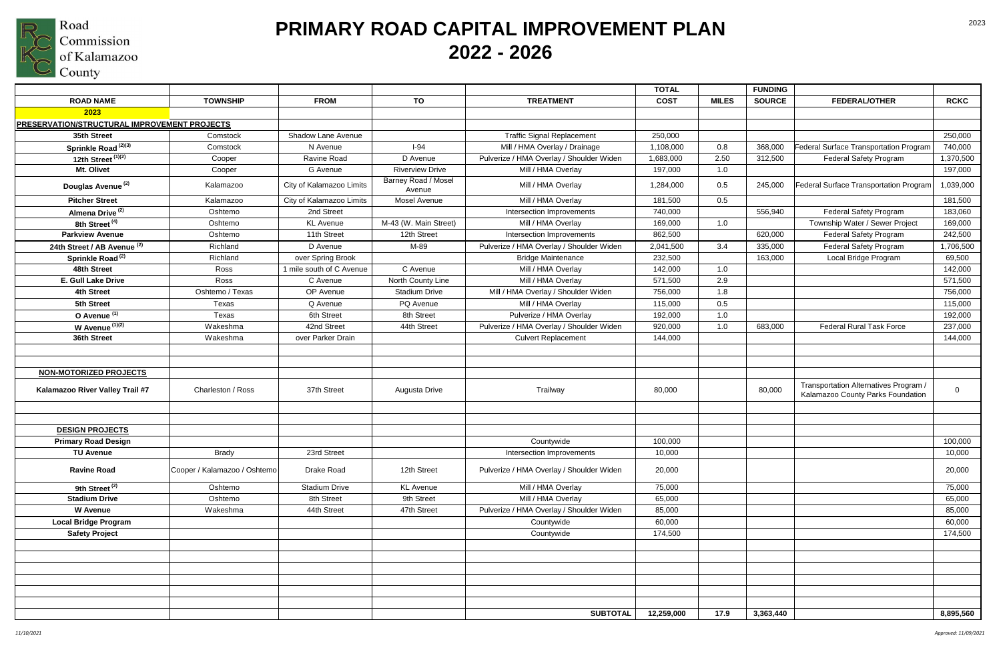

|                                                                  |                              |                          |                               |                                          | <b>TOTAL</b> |              | <b>FUNDING</b> |                                                                            |             |
|------------------------------------------------------------------|------------------------------|--------------------------|-------------------------------|------------------------------------------|--------------|--------------|----------------|----------------------------------------------------------------------------|-------------|
| <b>ROAD NAME</b>                                                 | <b>TOWNSHIP</b>              | <b>FROM</b>              | TO                            | <b>TREATMENT</b>                         | <b>COST</b>  | <b>MILES</b> | <b>SOURCE</b>  | <b>FEDERAL/OTHER</b>                                                       | <b>RCKC</b> |
| 2023                                                             |                              |                          |                               |                                          |              |              |                |                                                                            |             |
| <b>PRESERVATION/STRUCTURAL IMPROVEMENT PROJECTS</b>              |                              |                          |                               |                                          |              |              |                |                                                                            |             |
| 35th Street                                                      | Comstock                     | Shadow Lane Avenue       |                               | <b>Traffic Signal Replacement</b>        | 250,000      |              |                |                                                                            | 250,000     |
| Sprinkle Road <sup>(2)(3)</sup>                                  | Comstock                     | N Avenue                 | $I-94$                        | Mill / HMA Overlay / Drainage            | 1,108,000    | 0.8          | 368,000        | Federal Surface Transportation Program                                     | 740,000     |
| 12th Street $(1)(2)$                                             | Cooper                       | Ravine Road              | D Avenue                      | Pulverize / HMA Overlay / Shoulder Widen | 1,683,000    | 2.50         | 312,500        | <b>Federal Safety Program</b>                                              | 1,370,500   |
| Mt. Olivet                                                       | Cooper                       | G Avenue                 | <b>Riverview Drive</b>        | Mill / HMA Overlay                       | 197,000      | 1.0          |                |                                                                            | 197,000     |
| Douglas Avenue <sup>(2)</sup>                                    | Kalamazoo                    | City of Kalamazoo Limits | Barney Road / Mosel<br>Avenue | Mill / HMA Overlay                       | 1,284,000    | 0.5          | 245,000        | Federal Surface Transportation Program                                     | 1,039,000   |
| <b>Pitcher Street</b>                                            | Kalamazoo                    | City of Kalamazoo Limits | <b>Mosel Avenue</b>           | Mill / HMA Overlay                       | 181,500      | 0.5          |                |                                                                            | 181,500     |
| Almena Drive <sup>(2)</sup>                                      | Oshtemo                      | 2nd Street               |                               | Intersection Improvements                | 740,000      |              | 556,940        | <b>Federal Safety Program</b>                                              | 183,060     |
| 8th Street <sup>(4)</sup>                                        | Oshtemo                      | <b>KL</b> Avenue         | M-43 (W. Main Street)         | Mill / HMA Overlay                       | 169,000      | 1.0          |                | Township Water / Sewer Project                                             | 169,000     |
| <b>Parkview Avenue</b>                                           | Oshtemo                      | 11th Street              | 12th Street                   | Intersection Improvements                | 862,500      |              | 620,000        | <b>Federal Safety Program</b>                                              | 242,500     |
| 24th Street / AB Avenue <sup>(2)</sup>                           | Richland                     | D Avenue                 | M-89                          | Pulverize / HMA Overlay / Shoulder Widen | 2,041,500    | 3.4          | 335,000        | <b>Federal Safety Program</b>                                              | 1,706,500   |
| Sprinkle Road <sup>(2)</sup>                                     | Richland                     | over Spring Brook        |                               | <b>Bridge Maintenance</b>                | 232,500      |              | 163,000        | Local Bridge Program                                                       | 69,500      |
| 48th Street                                                      | Ross                         | 1 mile south of C Avenue | C Avenue                      | Mill / HMA Overlay                       | 142,000      | 1.0          |                |                                                                            | 142,000     |
| E. Gull Lake Drive                                               | Ross                         | C Avenue                 | North County Line             | Mill / HMA Overlay                       | 571,500      | 2.9          |                |                                                                            | 571,500     |
| <b>4th Street</b>                                                | Oshtemo / Texas              | OP Avenue                | <b>Stadium Drive</b>          | Mill / HMA Overlay / Shoulder Widen      | 756,000      | 1.8          |                |                                                                            | 756,000     |
| 5th Street                                                       | Texas                        | Q Avenue                 | PQ Avenue                     | Mill / HMA Overlay                       | 115,000      | 0.5          |                |                                                                            | 115,000     |
| O Avenue <sup>(1)</sup>                                          | Texas                        | 6th Street               | 8th Street                    | Pulverize / HMA Overlay                  | 192,000      | 1.0          |                |                                                                            | 192,000     |
| W Avenue $(1)(2)$                                                | Wakeshma                     | 42nd Street              | 44th Street                   | Pulverize / HMA Overlay / Shoulder Widen | 920,000      | 1.0          | 683,000        | <b>Federal Rural Task Force</b>                                            | 237,000     |
| 36th Street                                                      | Wakeshma                     | over Parker Drain        |                               | <b>Culvert Replacement</b>               | 144,000      |              |                |                                                                            | 144,000     |
| <b>NON-MOTORIZED PROJECTS</b><br>Kalamazoo River Valley Trail #7 | Charleston / Ross            | 37th Street              | Augusta Drive                 | Trailway                                 | 80,000       |              | 80,000         | Transportation Alternatives Program /<br>Kalamazoo County Parks Foundation | 0           |
| <b>DESIGN PROJECTS</b>                                           |                              |                          |                               |                                          |              |              |                |                                                                            |             |
| <b>Primary Road Design</b>                                       |                              |                          |                               | Countywide                               | 100,000      |              |                |                                                                            | 100,000     |
| <b>TU Avenue</b>                                                 | <b>Brady</b>                 | 23rd Street              |                               | Intersection Improvements                | 10,000       |              |                |                                                                            | 10,000      |
| <b>Ravine Road</b>                                               | Cooper / Kalamazoo / Oshtemo | Drake Road               | 12th Street                   | Pulverize / HMA Overlay / Shoulder Widen | 20,000       |              |                |                                                                            | 20,000      |
| 9th Street <sup>(2)</sup>                                        | Oshtemo                      | Stadium Drive            | <b>KL</b> Avenue              | Mill / HMA Overlay                       | 75,000       |              |                |                                                                            | 75,000      |
| <b>Stadium Drive</b>                                             | Oshtemo                      | 8th Street               | 9th Street                    | Mill / HMA Overlay                       | 65,000       |              |                |                                                                            | 65,000      |
| <b>W</b> Avenue                                                  | Wakeshma                     | 44th Street              | 47th Street                   | Pulverize / HMA Overlay / Shoulder Widen | 85,000       |              |                |                                                                            | 85,000      |
| <b>Local Bridge Program</b>                                      |                              |                          |                               | Countywide                               | 60,000       |              |                |                                                                            | 60,000      |
| <b>Safety Project</b>                                            |                              |                          |                               | Countywide                               | 174,500      |              |                |                                                                            | 174,500     |
|                                                                  |                              |                          |                               |                                          |              |              |                |                                                                            |             |
|                                                                  |                              |                          |                               | <b>SUBTOTAL</b>                          | 12,259,000   | 17.9         | 3,363,440      |                                                                            | 8,895,560   |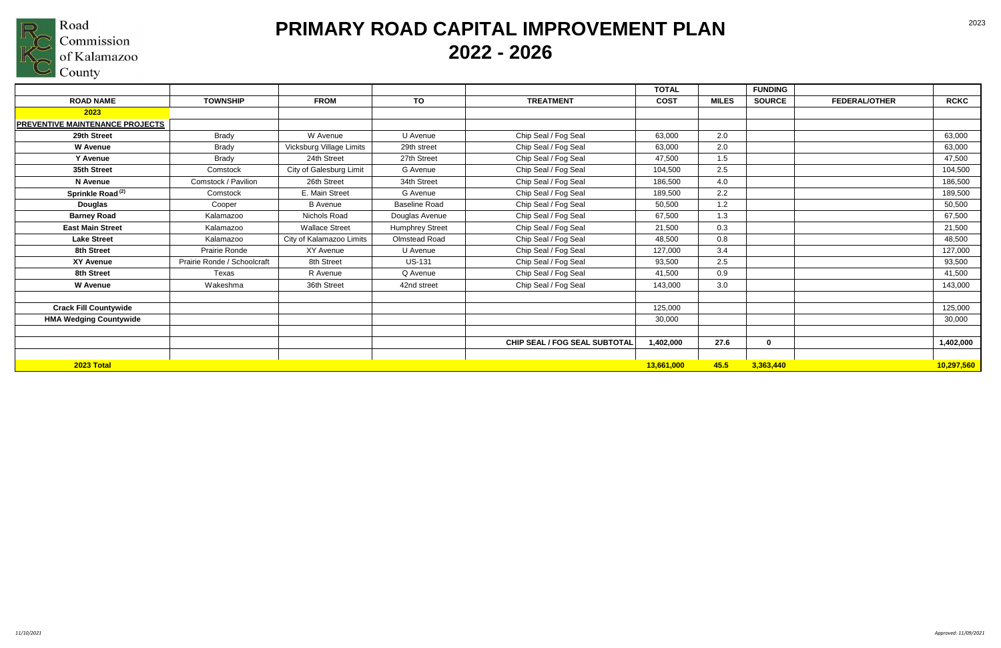

# **PRIMARY ROAD CAPITAL IMPROVEMENT PLAN 2022 - 2026**

|                                        |                             |                          |                        |                                      | <b>TOTAL</b> |              | <b>FUNDING</b> |                      |             |
|----------------------------------------|-----------------------------|--------------------------|------------------------|--------------------------------------|--------------|--------------|----------------|----------------------|-------------|
| <b>ROAD NAME</b>                       | <b>TOWNSHIP</b>             | <b>FROM</b>              | TO                     | <b>TREATMENT</b>                     | <b>COST</b>  | <b>MILES</b> | <b>SOURCE</b>  | <b>FEDERAL/OTHER</b> | <b>RCKC</b> |
| 2023                                   |                             |                          |                        |                                      |              |              |                |                      |             |
| <b>PREVENTIVE MAINTENANCE PROJECTS</b> |                             |                          |                        |                                      |              |              |                |                      |             |
| 29th Street                            | Brady                       | W Avenue                 | U Avenue               | Chip Seal / Fog Seal                 | 63,000       | 2.0          |                |                      | 63,000      |
| <b>W</b> Avenue                        | <b>Brady</b>                | Vicksburg Village Limits | 29th street            | Chip Seal / Fog Seal                 | 63,000       | 2.0          |                |                      | 63,000      |
| Y Avenue                               | <b>Brady</b>                | 24th Street              | 27th Street            | Chip Seal / Fog Seal                 | 47,500       | 1.5          |                |                      | 47,500      |
| 35th Street                            | Comstock                    | City of Galesburg Limit  | G Avenue               | Chip Seal / Fog Seal                 | 104,500      | 2.5          |                |                      | 104,500     |
| N Avenue                               | Comstock / Pavilion         | 26th Street              | 34th Street            | Chip Seal / Fog Seal                 | 186,500      | 4.0          |                |                      | 186,500     |
| Sprinkle Road <sup>(2)</sup>           | Comstock                    | E. Main Street           | G Avenue               | Chip Seal / Fog Seal                 | 189,500      | 2.2          |                |                      | 189,500     |
| <b>Douglas</b>                         | Cooper                      | <b>B</b> Avenue          | <b>Baseline Road</b>   | Chip Seal / Fog Seal                 | 50,500       | 1.2          |                |                      | 50,500      |
| <b>Barney Road</b>                     | Kalamazoo                   | Nichols Road             | Douglas Avenue         | Chip Seal / Fog Seal                 | 67,500       | 1.3          |                |                      | 67,500      |
| <b>East Main Street</b>                | Kalamazoo                   | <b>Wallace Street</b>    | <b>Humphrey Street</b> | Chip Seal / Fog Seal                 | 21,500       | 0.3          |                |                      | 21,500      |
| <b>Lake Street</b>                     | Kalamazoo                   | City of Kalamazoo Limits | Olmstead Road          | Chip Seal / Fog Seal                 | 48,500       | 0.8          |                |                      | 48,500      |
| 8th Street                             | Prairie Ronde               | XY Avenue                | U Avenue               | Chip Seal / Fog Seal                 | 127,000      | 3.4          |                |                      | 127,000     |
| <b>XY Avenue</b>                       | Prairie Ronde / Schoolcraft | 8th Street               | <b>US-131</b>          | Chip Seal / Fog Seal                 | 93,500       | 2.5          |                |                      | 93,500      |
| 8th Street                             | Texas                       | R Avenue                 | Q Avenue               | Chip Seal / Fog Seal                 | 41,500       | 0.9          |                |                      | 41,500      |
| <b>W</b> Avenue                        | Wakeshma                    | 36th Street              | 42nd street            | Chip Seal / Fog Seal                 | 143,000      | 3.0          |                |                      | 143,000     |
|                                        |                             |                          |                        |                                      |              |              |                |                      |             |
| <b>Crack Fill Countywide</b>           |                             |                          |                        |                                      | 125,000      |              |                |                      | 125,000     |
| <b>HMA Wedging Countywide</b>          |                             |                          |                        |                                      | 30,000       |              |                |                      | 30,000      |
|                                        |                             |                          |                        |                                      |              |              |                |                      |             |
|                                        |                             |                          |                        | <b>CHIP SEAL / FOG SEAL SUBTOTAL</b> | 1,402,000    | 27.6         | $\mathbf 0$    |                      | 1,402,000   |
|                                        |                             |                          |                        |                                      |              |              |                |                      |             |
| 2023 Total                             |                             |                          |                        |                                      | 13,661,000   | 45.5         | 3,363,440      |                      | 10,297,560  |

| <b>FEDERAL/OTHER</b> | <b>RCKC</b> |
|----------------------|-------------|
|                      |             |
|                      | 63,000      |
|                      | 63,000      |
|                      | 47,500      |
|                      |             |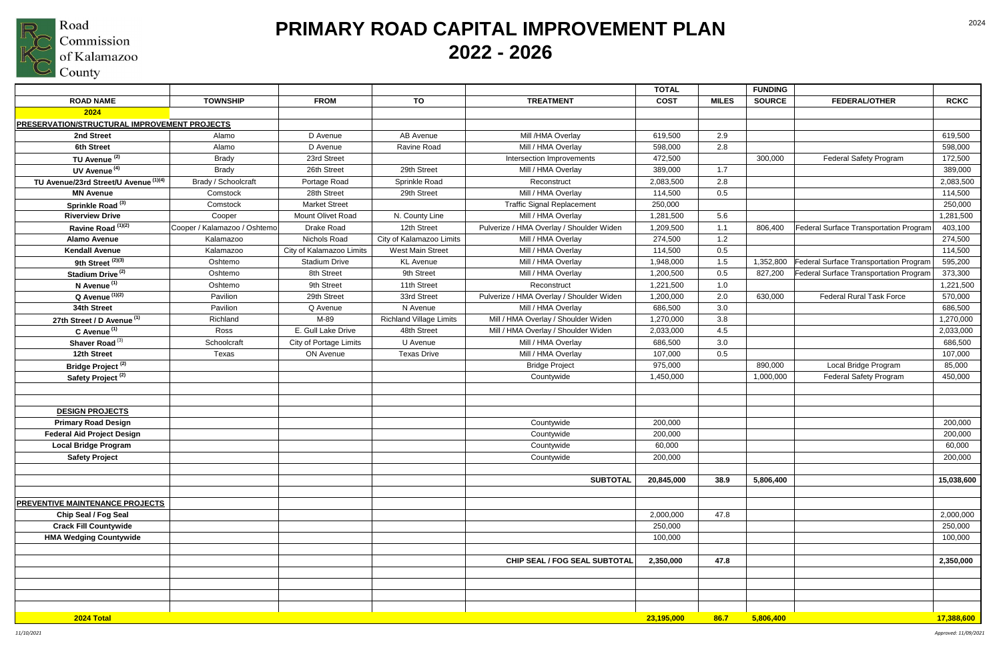

|                                                     |                              |                               |                                |                                          | <b>TOTAL</b> |              | <b>FUNDING</b> |                                               |             |
|-----------------------------------------------------|------------------------------|-------------------------------|--------------------------------|------------------------------------------|--------------|--------------|----------------|-----------------------------------------------|-------------|
| <b>ROAD NAME</b>                                    | <b>TOWNSHIP</b>              | <b>FROM</b>                   | TO                             | <b>TREATMENT</b>                         | <b>COST</b>  | <b>MILES</b> | <b>SOURCE</b>  | <b>FEDERAL/OTHER</b>                          | <b>RCKC</b> |
| 2024                                                |                              |                               |                                |                                          |              |              |                |                                               |             |
| <b>PRESERVATION/STRUCTURAL IMPROVEMENT PROJECTS</b> |                              |                               |                                |                                          |              |              |                |                                               |             |
| 2nd Street                                          | Alamo                        | D Avenue                      | AB Avenue                      | Mill /HMA Overlay                        | 619,500      | 2.9          |                |                                               | 619,500     |
| 6th Street                                          | Alamo                        | D Avenue                      | Ravine Road                    | Mill / HMA Overlay                       | 598,000      | 2.8          |                |                                               | 598,000     |
| TU Avenue <sup>(2)</sup>                            | <b>Brady</b>                 | 23rd Street                   |                                | Intersection Improvements                | 472,500      |              | 300,000        | <b>Federal Safety Program</b>                 | 172,500     |
| UV Avenue <sup>(4)</sup>                            | <b>Brady</b>                 | 26th Street                   | 29th Street                    | Mill / HMA Overlay                       | 389,000      | 1.7          |                |                                               | 389,000     |
| TU Avenue/23rd Street/U Avenue (1)(4)               | Brady / Schoolcraft          | Portage Road                  | Sprinkle Road                  | Reconstruct                              | 2,083,500    | 2.8          |                |                                               | 2,083,500   |
| <b>MN Avenue</b>                                    | Comstock                     | 28th Street                   | 29th Street                    | Mill / HMA Overlay                       | 114,500      | 0.5          |                |                                               | 114,500     |
| Sprinkle Road <sup>(3)</sup>                        | Comstock                     | <b>Market Street</b>          |                                | <b>Traffic Signal Replacement</b>        | 250,000      |              |                |                                               | 250,000     |
| <b>Riverview Drive</b>                              | Cooper                       | Mount Olivet Road             | N. County Line                 | Mill / HMA Overlay                       | 1,281,500    | 5.6          |                |                                               | 1,281,500   |
| Ravine Road <sup>(1)(2)</sup>                       | Cooper / Kalamazoo / Oshtemo | Drake Road                    | 12th Street                    | Pulverize / HMA Overlay / Shoulder Widen | 1,209,500    | 1.1          | 806,400        | Federal Surface Transportation Program        | 403,100     |
| <b>Alamo Avenue</b>                                 | Kalamazoo                    | Nichols Road                  | City of Kalamazoo Limits       | Mill / HMA Overlay                       | 274,500      | 1.2          |                |                                               | 274,500     |
| <b>Kendall Avenue</b>                               | Kalamazoo                    | City of Kalamazoo Limits      | <b>West Main Street</b>        | Mill / HMA Overlay                       | 114,500      | 0.5          |                |                                               | 114,500     |
| 9th Street $\overline{^{(2)(3)}}$                   | Oshtemo                      | <b>Stadium Drive</b>          | <b>KL</b> Avenue               | Mill / HMA Overlay                       | 1,948,000    | 1.5          | 1,352,800      | Federal Surface Transportation Program        | 595,200     |
| Stadium Drive <sup>(2)</sup>                        | Oshtemo                      | 8th Street                    | 9th Street                     | Mill / HMA Overlay                       | 1,200,500    | 0.5          | 827,200        | <b>Federal Surface Transportation Program</b> | 373,300     |
| N Avenue <sup>(1)</sup>                             | Oshtemo                      | 9th Street                    | 11th Street                    | Reconstruct                              | 1,221,500    | 1.0          |                |                                               | 1,221,500   |
| $Q$ Avenue $(1)(2)$                                 | Pavilion                     | 29th Street                   | 33rd Street                    | Pulverize / HMA Overlay / Shoulder Widen | 1,200,000    | 2.0          | 630,000        | <b>Federal Rural Task Force</b>               | 570,000     |
| 34th Street                                         | Pavilion                     | Q Avenue                      | N Avenue                       | Mill / HMA Overlay                       | 686,500      | 3.0          |                |                                               | 686,500     |
| 27th Street / D Avenue <sup>(1)</sup>               | Richland                     | M-89                          | <b>Richland Village Limits</b> | Mill / HMA Overlay / Shoulder Widen      | 1,270,000    | 3.8          |                |                                               | 1,270,000   |
| C Avenue <sup>(1)</sup>                             | Ross                         | E. Gull Lake Drive            | 48th Street                    | Mill / HMA Overlay / Shoulder Widen      | 2,033,000    | 4.5          |                |                                               | 2,033,000   |
| Shaver Road <sup>(3)</sup>                          | Schoolcraft                  | <b>City of Portage Limits</b> | U Avenue                       | Mill / HMA Overlay                       | 686,500      | 3.0          |                |                                               | 686,500     |
| 12th Street                                         | Texas                        | ON Avenue                     | <b>Texas Drive</b>             | Mill / HMA Overlay                       | 107,000      | 0.5          |                |                                               | 107,000     |
| Bridge Project <sup>(2)</sup>                       |                              |                               |                                | <b>Bridge Project</b>                    | 975,000      |              | 890,000        | Local Bridge Program                          | 85,000      |
| Safety Project <sup>(2)</sup>                       |                              |                               |                                | Countywide                               | 1,450,000    |              | 1,000,000      | <b>Federal Safety Program</b>                 | 450,000     |
|                                                     |                              |                               |                                |                                          |              |              |                |                                               |             |
|                                                     |                              |                               |                                |                                          |              |              |                |                                               |             |
| <b>DESIGN PROJECTS</b>                              |                              |                               |                                |                                          |              |              |                |                                               |             |
| <b>Primary Road Design</b>                          |                              |                               |                                | Countywide                               | 200,000      |              |                |                                               | 200,000     |
| <b>Federal Aid Project Design</b>                   |                              |                               |                                | Countywide                               | 200,000      |              |                |                                               | 200,000     |
| <b>Local Bridge Program</b>                         |                              |                               |                                | Countywide                               | 60,000       |              |                |                                               | 60,000      |
| <b>Safety Project</b>                               |                              |                               |                                | Countywide                               | 200,000      |              |                |                                               | 200,000     |
|                                                     |                              |                               |                                |                                          |              |              |                |                                               |             |
|                                                     |                              |                               |                                | <b>SUBTOTAL</b>                          | 20,845,000   | 38.9         | 5,806,400      |                                               | 15,038,600  |
|                                                     |                              |                               |                                |                                          |              |              |                |                                               |             |
| <b>PREVENTIVE MAINTENANCE PROJECTS</b>              |                              |                               |                                |                                          |              |              |                |                                               |             |
| Chip Seal / Fog Seal                                |                              |                               |                                |                                          | 2,000,000    | 47.8         |                |                                               | 2,000,000   |
| <b>Crack Fill Countywide</b>                        |                              |                               |                                |                                          | 250,000      |              |                |                                               | 250,000     |
| <b>HMA Wedging Countywide</b>                       |                              |                               |                                |                                          | 100,000      |              |                |                                               | 100,000     |
|                                                     |                              |                               |                                |                                          |              |              |                |                                               |             |
|                                                     |                              |                               |                                | CHIP SEAL / FOG SEAL SUBTOTAL            | 2,350,000    | 47.8         |                |                                               | 2,350,000   |
|                                                     |                              |                               |                                |                                          |              |              |                |                                               |             |
|                                                     |                              |                               |                                |                                          |              |              |                |                                               |             |
|                                                     |                              |                               |                                |                                          |              |              |                |                                               |             |
|                                                     |                              |                               |                                |                                          |              |              |                |                                               |             |
| 2024 Total                                          |                              |                               |                                |                                          | 23,195,000   | 86.7         | 5,806,400      |                                               | 17,388,600  |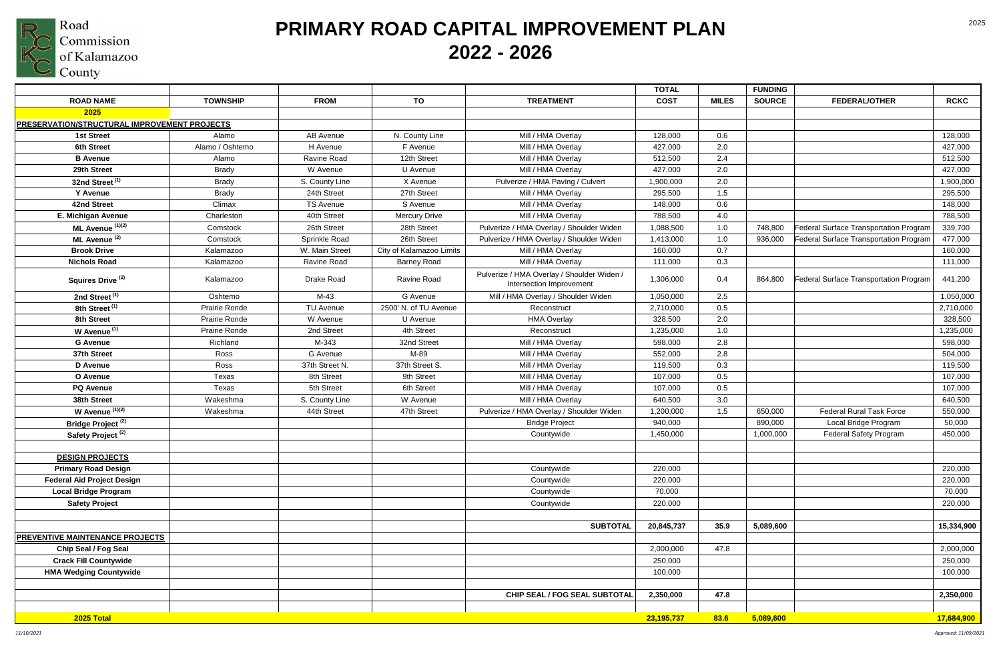

## **PRIMARY ROAD CAPITAL IMPROVEMENT PLAN 2022 - 2026**

|                                                     |                 |                    |                          |                                                                        | <b>TOTAL</b> |              | <b>FUNDING</b> |                                        |             |
|-----------------------------------------------------|-----------------|--------------------|--------------------------|------------------------------------------------------------------------|--------------|--------------|----------------|----------------------------------------|-------------|
| <b>ROAD NAME</b>                                    | <b>TOWNSHIP</b> | <b>FROM</b>        | TO                       | <b>TREATMENT</b>                                                       | <b>COST</b>  | <b>MILES</b> | <b>SOURCE</b>  | <b>FEDERAL/OTHER</b>                   | <b>RCKC</b> |
| 2025                                                |                 |                    |                          |                                                                        |              |              |                |                                        |             |
| <b>PRESERVATION/STRUCTURAL IMPROVEMENT PROJECTS</b> |                 |                    |                          |                                                                        |              |              |                |                                        |             |
| 1st Street                                          | Alamo           | AB Avenue          | N. County Line           | Mill / HMA Overlay                                                     | 128,000      | 0.6          |                |                                        | 128,000     |
| <b>6th Street</b>                                   | Alamo / Oshtemo | H Avenue           | F Avenue                 | Mill / HMA Overlay                                                     | 427,000      | 2.0          |                |                                        | 427,000     |
| <b>B</b> Avenue                                     | Alamo           | <b>Ravine Road</b> | 12th Street              | Mill / HMA Overlay                                                     | 512,500      | 2.4          |                |                                        | 512,500     |
| 29th Street                                         | <b>Brady</b>    | W Avenue           | U Avenue                 | Mill / HMA Overlay                                                     | 427,000      | 2.0          |                |                                        | 427,000     |
| 32nd Street <sup>(1)</sup>                          | <b>Brady</b>    | S. County Line     | X Avenue                 | Pulverize / HMA Paving / Culvert                                       | 1,900,000    | 2.0          |                |                                        | 1,900,000   |
| Y Avenue                                            | <b>Brady</b>    | 24th Street        | 27th Street              | Mill / HMA Overlay                                                     | 295,500      | 1.5          |                |                                        | 295,500     |
| 42nd Street                                         | Climax          | <b>TS Avenue</b>   | S Avenue                 | Mill / HMA Overlay                                                     | 148,000      | 0.6          |                |                                        | 148,000     |
| E. Michigan Avenue                                  | Charleston      | 40th Street        | <b>Mercury Drive</b>     | Mill / HMA Overlay                                                     | 788,500      | 4.0          |                |                                        | 788,500     |
| ML Avenue (1)(2)                                    | Comstock        | 26th Street        | 28th Street              | Pulverize / HMA Overlay / Shoulder Widen                               | 1,088,500    | 1.0          | 748,800        | Federal Surface Transportation Program | 339,700     |
| ML Avenue <sup>(2)</sup>                            | Comstock        | Sprinkle Road      | 26th Street              | Pulverize / HMA Overlay / Shoulder Widen                               | 1,413,000    | 1.0          | 936,000        | Federal Surface Transportation Program | 477,000     |
| <b>Brook Drive</b>                                  | Kalamazoo       | W. Main Street     | City of Kalamazoo Limits | Mill / HMA Overlay                                                     | 160,000      | 0.7          |                |                                        | 160,000     |
| <b>Nichols Road</b>                                 | Kalamazoo       | Ravine Road        | <b>Barney Road</b>       | Mill / HMA Overlay                                                     | 111,000      | 0.3          |                |                                        | 111,000     |
| Squires Drive <sup>(2)</sup>                        | Kalamazoo       | Drake Road         | Ravine Road              | Pulverize / HMA Overlay / Shoulder Widen /<br>Intersection Improvement | 1,306,000    | 0.4          | 864,800        | Federal Surface Transportation Program | 441,200     |
| 2nd Street <sup>(1)</sup>                           | Oshtemo         | $M-43$             | G Avenue                 | Mill / HMA Overlay / Shoulder Widen                                    | 1,050,000    | 2.5          |                |                                        | 1,050,000   |
| 8th Street <sup>(1)</sup>                           | Prairie Ronde   | <b>TU Avenue</b>   | 2500' N. of TU Avenue    | Reconstruct                                                            | 2,710,000    | 0.5          |                |                                        | 2,710,000   |
| 8th Street                                          | Prairie Ronde   | W Avenue           | U Avenue                 | <b>HMA Overlay</b>                                                     | 328,500      | 2.0          |                |                                        | 328,500     |
| W Avenue <sup>(1)</sup>                             | Prairie Ronde   | 2nd Street         | 4th Street               | Reconstruct                                                            | 1,235,000    | 1.0          |                |                                        | 1,235,000   |
| <b>G</b> Avenue                                     | Richland        | M-343              | 32nd Street              | Mill / HMA Overlay                                                     | 598,000      | 2.8          |                |                                        | 598,000     |
| 37th Street                                         | Ross            | G Avenue           | M-89                     | Mill / HMA Overlay                                                     | 552,000      | 2.8          |                |                                        | 504,000     |
| D Avenue                                            | Ross            | 37th Street N.     | 37th Street S.           | Mill / HMA Overlay                                                     | 119,500      | 0.3          |                |                                        | 119,500     |
| O Avenue                                            | Texas           | 8th Street         | 9th Street               | Mill / HMA Overlay                                                     | 107,000      | 0.5          |                |                                        | 107,000     |
| <b>PQ Avenue</b>                                    | Texas           | 5th Street         | 6th Street               | Mill / HMA Overlay                                                     | 107,000      | 0.5          |                |                                        | 107,000     |
| 38th Street                                         | Wakeshma        | S. County Line     | W Avenue                 | Mill / HMA Overlay                                                     | 640,500      | 3.0          |                |                                        | 640,500     |
| W Avenue $(1)(2)$                                   | Wakeshma        | 44th Street        | 47th Street              | Pulverize / HMA Overlay / Shoulder Widen                               | 1,200,000    | 1.5          | 650,000        | <b>Federal Rural Task Force</b>        | 550,000     |
| Bridge Project <sup>(2)</sup>                       |                 |                    |                          | <b>Bridge Project</b>                                                  | 940,000      |              | 890,000        | Local Bridge Program                   | 50,000      |
| Safety Project <sup>(2)</sup>                       |                 |                    |                          | Countywide                                                             | 1,450,000    |              | 1,000,000      | <b>Federal Safety Program</b>          | 450,000     |
|                                                     |                 |                    |                          |                                                                        |              |              |                |                                        |             |
| <b>DESIGN PROJECTS</b>                              |                 |                    |                          |                                                                        |              |              |                |                                        |             |
| <b>Primary Road Design</b>                          |                 |                    |                          | Countywide                                                             | 220,000      |              |                |                                        | 220,000     |
| <b>Federal Aid Project Design</b>                   |                 |                    |                          | Countywide                                                             | 220,000      |              |                |                                        | 220,000     |
| <b>Local Bridge Program</b>                         |                 |                    |                          | Countywide                                                             | 70,000       |              |                |                                        | 70,000      |
| <b>Safety Project</b>                               |                 |                    |                          | Countywide                                                             | 220,000      |              |                |                                        | 220,000     |
|                                                     |                 |                    |                          |                                                                        |              |              |                |                                        |             |
|                                                     |                 |                    |                          | <b>SUBTOTAL</b>                                                        | 20,845,737   | 35.9         | 5,089,600      |                                        | 15,334,900  |
| <b>PREVENTIVE MAINTENANCE PROJECTS</b>              |                 |                    |                          |                                                                        |              |              |                |                                        |             |
| <b>Chip Seal / Fog Seal</b>                         |                 |                    |                          |                                                                        | 2,000,000    | 47.8         |                |                                        | 2,000,000   |
| <b>Crack Fill Countywide</b>                        |                 |                    |                          |                                                                        | 250,000      |              |                |                                        | 250,000     |
| <b>HMA Wedging Countywide</b>                       |                 |                    |                          |                                                                        | 100,000      |              |                |                                        | 100,000     |
|                                                     |                 |                    |                          |                                                                        |              |              |                |                                        |             |
|                                                     |                 |                    |                          | CHIP SEAL / FOG SEAL SUBTOTAL                                          | 2,350,000    | 47.8         |                |                                        | 2,350,000   |
|                                                     |                 |                    |                          |                                                                        |              |              |                |                                        |             |
| 2025 Total                                          |                 |                    |                          |                                                                        | 23,195,737   | 83.6         | 5,089,600      |                                        | 17,684,900  |

*11/10/2021 Approved: 11/09/2021*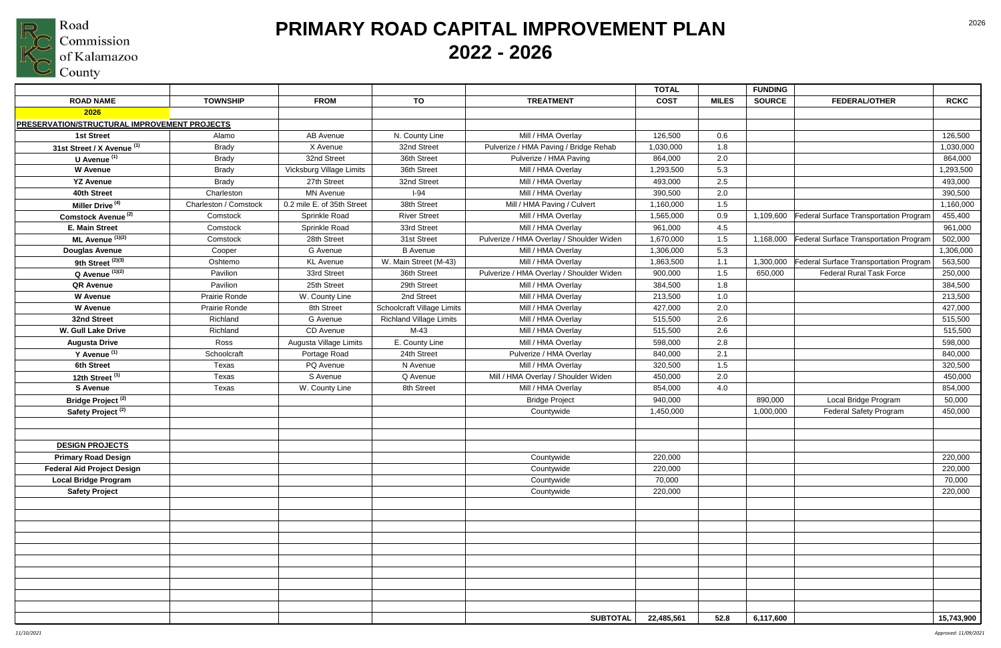

|                                              |                       |                            |                                |                                          | <b>TOTAL</b> |              | <b>FUNDING</b> |                                        |             |
|----------------------------------------------|-----------------------|----------------------------|--------------------------------|------------------------------------------|--------------|--------------|----------------|----------------------------------------|-------------|
| <b>ROAD NAME</b>                             | <b>TOWNSHIP</b>       | <b>FROM</b>                | TO                             | <b>TREATMENT</b>                         | <b>COST</b>  | <b>MILES</b> | <b>SOURCE</b>  | <b>FEDERAL/OTHER</b>                   | <b>RCKC</b> |
| 2026                                         |                       |                            |                                |                                          |              |              |                |                                        |             |
| PRESERVATION/STRUCTURAL IMPROVEMENT PROJECTS |                       |                            |                                |                                          |              |              |                |                                        |             |
| <b>1st Street</b>                            | Alamo                 | AB Avenue                  | N. County Line                 | Mill / HMA Overlay                       | 126,500      | 0.6          |                |                                        | 126,500     |
| 31st Street / X Avenue (1)                   | <b>Brady</b>          | X Avenue                   | 32nd Street                    | Pulverize / HMA Paving / Bridge Rehab    | 1,030,000    | 1.8          |                |                                        | 1,030,000   |
| U Avenue <sup>(1)</sup>                      | <b>Brady</b>          | 32nd Street                | 36th Street                    | Pulverize / HMA Paving                   | 864,000      | 2.0          |                |                                        | 864,000     |
| <b>W</b> Avenue                              | <b>Brady</b>          | Vicksburg Village Limits   | 36th Street                    | Mill / HMA Overlay                       | 1,293,500    | 5.3          |                |                                        | 1,293,500   |
| <b>YZ Avenue</b>                             | <b>Brady</b>          | 27th Street                | 32nd Street                    | Mill / HMA Overlay                       | 493,000      | 2.5          |                |                                        | 493,000     |
| 40th Street                                  | Charleston            | <b>MN Avenue</b>           | $I-94$                         | Mill / HMA Overlay                       | 390,500      | 2.0          |                |                                        | 390,500     |
| Miller Drive <sup>(4)</sup>                  | Charleston / Comstock | 0.2 mile E. of 35th Street | 38th Street                    | Mill / HMA Paving / Culvert              | 1,160,000    | 1.5          |                |                                        | 1,160,000   |
| Comstock Avenue <sup>(2)</sup>               | Comstock              | Sprinkle Road              | <b>River Street</b>            | Mill / HMA Overlay                       | 1,565,000    | 0.9          | 1,109,600      | Federal Surface Transportation Program | 455,400     |
| <b>E. Main Street</b>                        | Comstock              | Sprinkle Road              | 33rd Street                    | Mill / HMA Overlay                       | 961,000      | 4.5          |                |                                        | 961,000     |
| ML Avenue $(1)(2)$                           | Comstock              | 28th Street                | 31st Street                    | Pulverize / HMA Overlay / Shoulder Widen | 1,670,000    | 1.5          | 1,168,000      | Federal Surface Transportation Program | 502,000     |
| <b>Douglas Avenue</b>                        | Cooper                | G Avenue                   | <b>B</b> Avenue                | Mill / HMA Overlay                       | 1,306,000    | 5.3          |                |                                        | 1,306,000   |
| 9th Street <sup>(2)(3)</sup>                 | Oshtemo               | <b>KL</b> Avenue           | W. Main Street (M-43)          | Mill / HMA Overlay                       | 1,863,500    | 1.1          | 1,300,000      | Federal Surface Transportation Program | 563,500     |
| $Q$ Avenue $(1)(2)$                          | Pavilion              | 33rd Street                | 36th Street                    | Pulverize / HMA Overlay / Shoulder Widen | 900,000      | 1.5          | 650,000        | <b>Federal Rural Task Force</b>        | 250,000     |
| <b>QR Avenue</b>                             | Pavilion              | 25th Street                | 29th Street                    | Mill / HMA Overlay                       | 384,500      | 1.8          |                |                                        | 384,500     |
| <b>W</b> Avenue                              | Prairie Ronde         | W. County Line             | 2nd Street                     | Mill / HMA Overlay                       | 213,500      | 1.0          |                |                                        | 213,500     |
| <b>W</b> Avenue                              | Prairie Ronde         | 8th Street                 | Schoolcraft Village Limits     | Mill / HMA Overlay                       | 427,000      | 2.0          |                |                                        | 427,000     |
| 32nd Street                                  | Richland              | G Avenue                   | <b>Richland Village Limits</b> | Mill / HMA Overlay                       | 515,500      | 2.6          |                |                                        | 515,500     |
| <b>W. Gull Lake Drive</b>                    | Richland              | CD Avenue                  | $M-43$                         | Mill / HMA Overlay                       | 515,500      | 2.6          |                |                                        | 515,500     |
| <b>Augusta Drive</b>                         | Ross                  | Augusta Village Limits     | E. County Line                 | Mill / HMA Overlay                       | 598,000      | 2.8          |                |                                        | 598,000     |
| Y Avenue <sup>(1)</sup>                      | Schoolcraft           | Portage Road               | 24th Street                    | Pulverize / HMA Overlay                  | 840,000      | 2.1          |                |                                        | 840,000     |
| 6th Street                                   | Texas                 | PQ Avenue                  | N Avenue                       | Mill / HMA Overlay                       | 320,500      | 1.5          |                |                                        | 320,500     |
| 12th Street <sup>(1)</sup>                   | Texas                 | S Avenue                   | Q Avenue                       | Mill / HMA Overlay / Shoulder Widen      | 450,000      | 2.0          |                |                                        | 450,000     |
| <b>S</b> Avenue                              | Texas                 | W. County Line             | 8th Street                     | Mill / HMA Overlay                       | 854,000      | 4.0          |                |                                        | 854,000     |
| Bridge Project <sup>(2)</sup>                |                       |                            |                                | <b>Bridge Project</b>                    | 940,000      |              | 890,000        | Local Bridge Program                   | 50,000      |
| Safety Project <sup>(2)</sup>                |                       |                            |                                | Countywide                               | 1,450,000    |              | 1,000,000      | <b>Federal Safety Program</b>          | 450,000     |
|                                              |                       |                            |                                |                                          |              |              |                |                                        |             |
|                                              |                       |                            |                                |                                          |              |              |                |                                        |             |
| <b>DESIGN PROJECTS</b>                       |                       |                            |                                |                                          |              |              |                |                                        |             |
| <b>Primary Road Design</b>                   |                       |                            |                                | Countywide                               | 220,000      |              |                |                                        | 220,000     |
| <b>Federal Aid Project Design</b>            |                       |                            |                                | Countywide                               | 220,000      |              |                |                                        | 220,000     |
| <b>Local Bridge Program</b>                  |                       |                            |                                | Countywide                               | 70,000       |              |                |                                        | 70,000      |
| <b>Safety Project</b>                        |                       |                            |                                | Countywide                               | 220,000      |              |                |                                        | 220,000     |
|                                              |                       |                            |                                |                                          |              |              |                |                                        |             |
|                                              |                       |                            |                                |                                          |              |              |                |                                        |             |
|                                              |                       |                            |                                |                                          |              |              |                |                                        |             |
|                                              |                       |                            |                                |                                          |              |              |                |                                        |             |
|                                              |                       |                            |                                |                                          |              |              |                |                                        |             |
|                                              |                       |                            |                                |                                          |              |              |                |                                        |             |
|                                              |                       |                            |                                |                                          |              |              |                |                                        |             |
|                                              |                       |                            |                                |                                          |              |              |                |                                        |             |
|                                              |                       |                            |                                |                                          |              |              |                |                                        |             |
|                                              |                       |                            |                                |                                          |              |              |                |                                        |             |
|                                              |                       |                            |                                | <b>SUBTOTAL</b>                          | 22,485,561   | 52.8         | 6,117,600      |                                        | 15,743,900  |